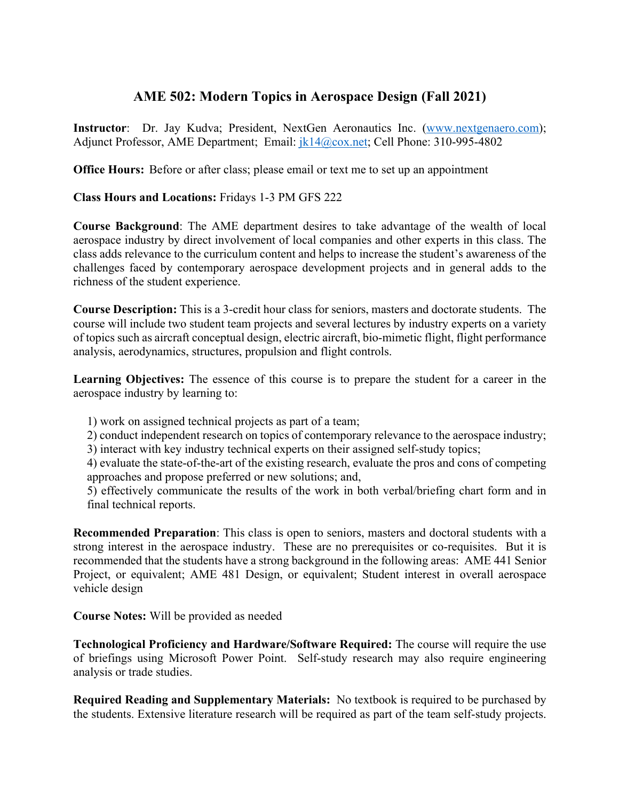## **AME 502: Modern Topics in Aerospace Design (Fall 2021)**

**Instructor**: Dr. Jay Kudva; President, NextGen Aeronautics Inc. (www.nextgenaero.com); Adjunct Professor, AME Department; Email:  $i k14@cov.net$ ; Cell Phone: 310-995-4802

**Office Hours:** Before or after class; please email or text me to set up an appointment

**Class Hours and Locations:** Fridays 1-3 PM GFS 222

**Course Background**: The AME department desires to take advantage of the wealth of local aerospace industry by direct involvement of local companies and other experts in this class. The class adds relevance to the curriculum content and helps to increase the student's awareness of the challenges faced by contemporary aerospace development projects and in general adds to the richness of the student experience.

**Course Description:** This is a 3-credit hour class for seniors, masters and doctorate students. The course will include two student team projects and several lectures by industry experts on a variety of topics such as aircraft conceptual design, electric aircraft, bio-mimetic flight, flight performance analysis, aerodynamics, structures, propulsion and flight controls.

**Learning Objectives:** The essence of this course is to prepare the student for a career in the aerospace industry by learning to:

- 1) work on assigned technical projects as part of a team;
- 2) conduct independent research on topics of contemporary relevance to the aerospace industry;
- 3) interact with key industry technical experts on their assigned self-study topics;
- 4) evaluate the state-of-the-art of the existing research, evaluate the pros and cons of competing approaches and propose preferred or new solutions; and,
- 5) effectively communicate the results of the work in both verbal/briefing chart form and in final technical reports.

**Recommended Preparation**: This class is open to seniors, masters and doctoral students with a strong interest in the aerospace industry. These are no prerequisites or co-requisites. But it is recommended that the students have a strong background in the following areas: AME 441 Senior Project, or equivalent; AME 481 Design, or equivalent; Student interest in overall aerospace vehicle design

**Course Notes:** Will be provided as needed

**Technological Proficiency and Hardware/Software Required:** The course will require the use of briefings using Microsoft Power Point. Self-study research may also require engineering analysis or trade studies.

**Required Reading and Supplementary Materials:** No textbook is required to be purchased by the students. Extensive literature research will be required as part of the team self-study projects.